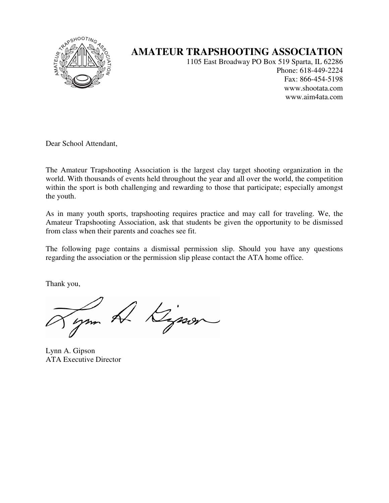

## **AMATEUR TRAPSHOOTING ASSOCIATION**

1105 East Broadway PO Box 519 Sparta, IL 62286 Phone: 618-449-2224 Fax: 866-454-5198 www.shootata.com www.aim4ata.com

Dear School Attendant,

The Amateur Trapshooting Association is the largest clay target shooting organization in the world. With thousands of events held throughout the year and all over the world, the competition within the sport is both challenging and rewarding to those that participate; especially amongst the youth.

As in many youth sports, trapshooting requires practice and may call for traveling. We, the Amateur Trapshooting Association, ask that students be given the opportunity to be dismissed from class when their parents and coaches see fit.

The following page contains a dismissal permission slip. Should you have any questions regarding the association or the permission slip please contact the ATA home office.

Thank you,

ym A Kipson

Lynn A. Gipson ATA Executive Director